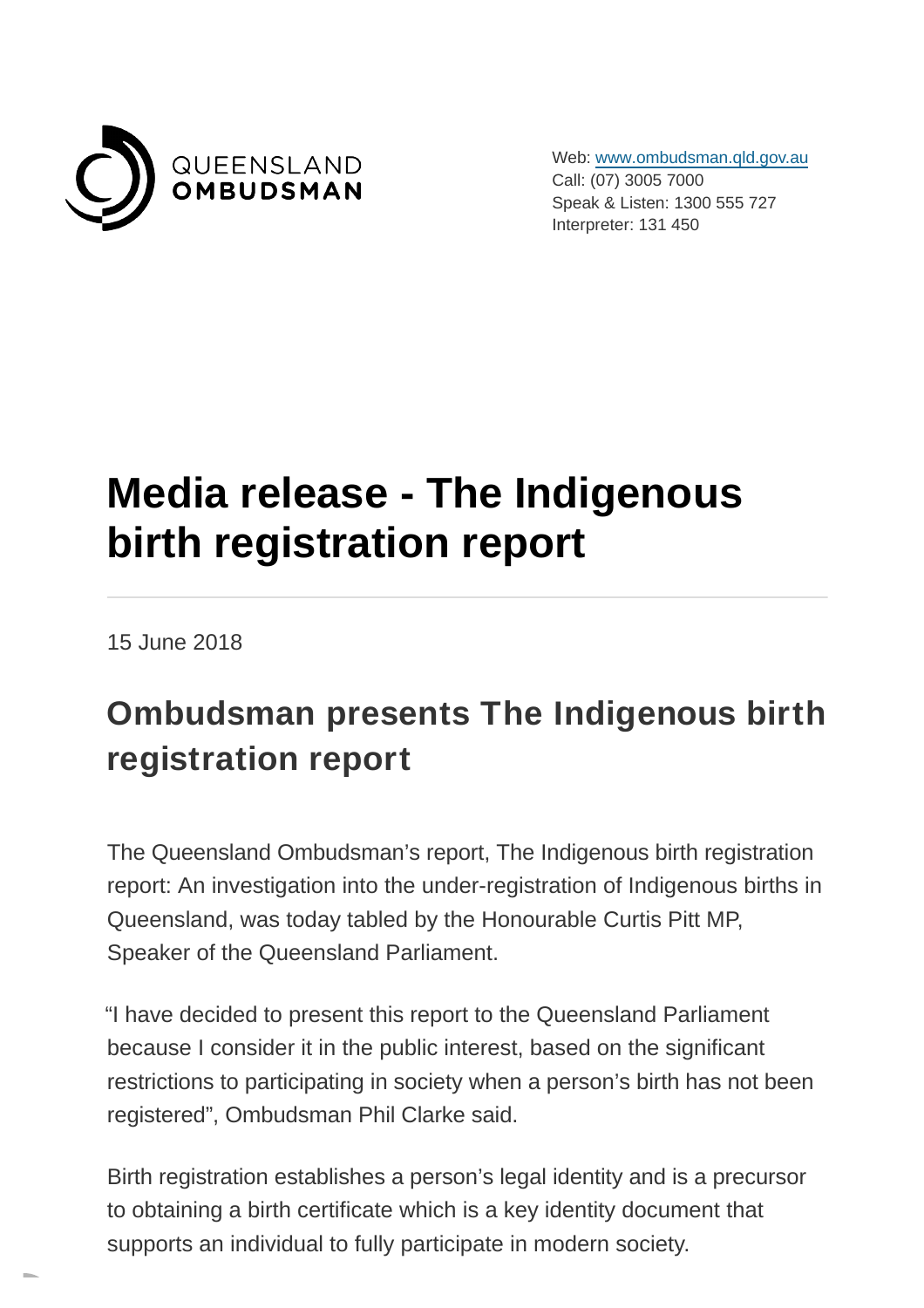

Web: [www.ombudsman.qld.gov.au](https://www.ombudsman.qld.gov.au/) Call: (07) 3005 7000 Speak & Listen: 1300 555 727 Interpreter: 131 450

## **Media release - The Indigenous birth registration report**

15 June 2018

## **Ombudsman presents The Indigenous birth registration report**

The Queensland Ombudsman's report, The Indigenous birth registration report: An investigation into the under-registration of Indigenous births in Queensland, was today tabled by the Honourable Curtis Pitt MP, Speaker of the Queensland Parliament.

"I have decided to present this report to the Queensland Parliament because I consider it in the public interest, based on the significant restrictions to participating in society when a person's birth has not been registered", Ombudsman Phil Clarke said.

Birth registration establishes a person's legal identity and is a precursor to obtaining a birth certificate which is a key identity document that supports an individual to fully participate in modern society.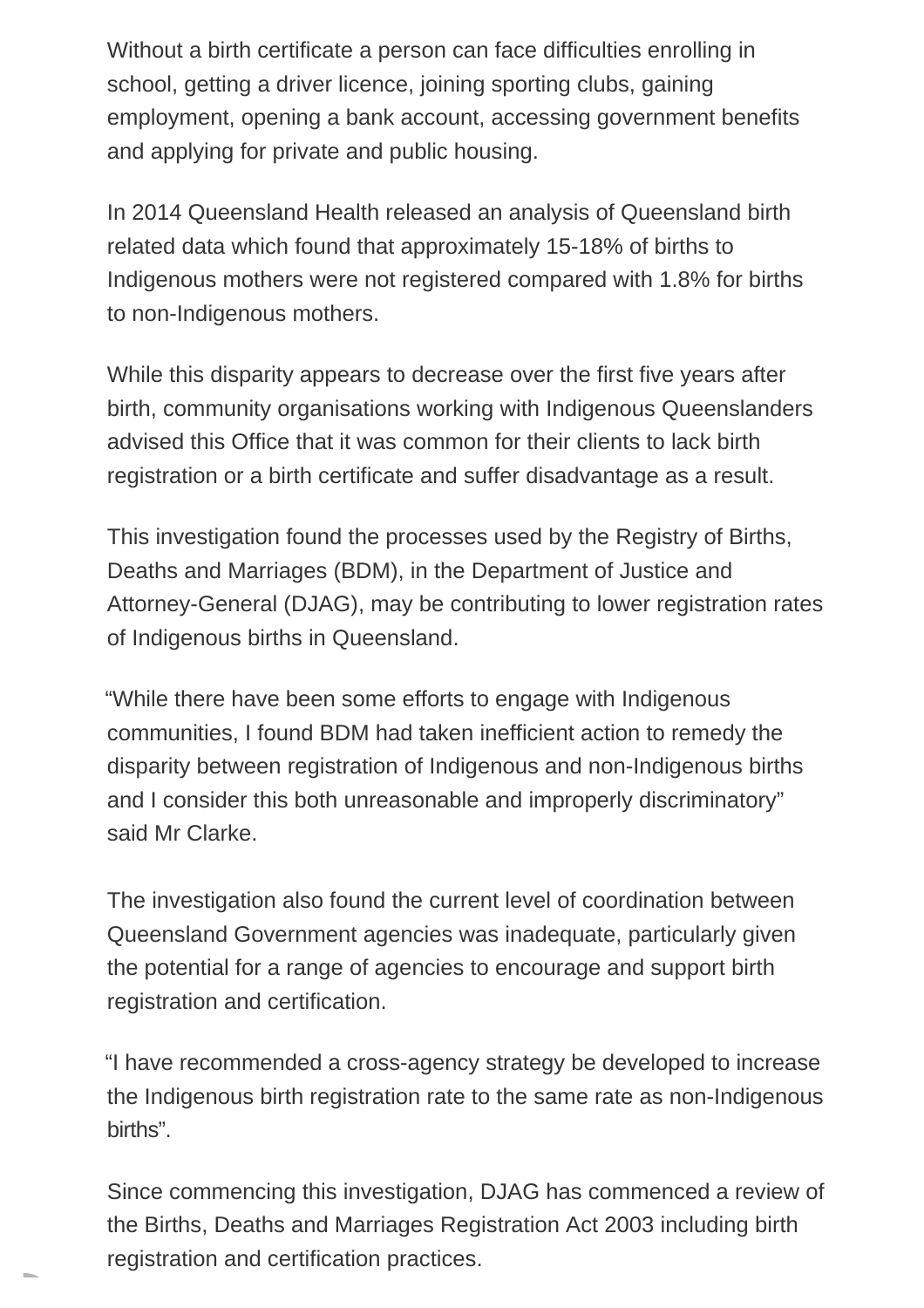Without a birth certificate a person can face difficulties enrolling in school, getting a driver licence, joining sporting clubs, gaining employment, opening a bank account, accessing government benefits and applying for private and public housing.

In 2014 Queensland Health released an analysis of Queensland birth related data which found that approximately 15-18% of births to Indigenous mothers were not registered compared with 1.8% for births to non-Indigenous mothers.

While this disparity appears to decrease over the first five years after birth, community organisations working with Indigenous Queenslanders advised this Office that it was common for their clients to lack birth registration or a birth certificate and suffer disadvantage as a result.

This investigation found the processes used by the Registry of Births, Deaths and Marriages (BDM), in the Department of Justice and Attorney-General (DJAG), may be contributing to lower registration rates of Indigenous births in Queensland.

"While there have been some efforts to engage with Indigenous communities, I found BDM had taken inefficient action to remedy the disparity between registration of Indigenous and non-Indigenous births and I consider this both unreasonable and improperly discriminatory" said Mr Clarke.

The investigation also found the current level of coordination between Queensland Government agencies was inadequate, particularly given the potential for a range of agencies to encourage and support birth registration and certification.

"I have recommended a cross-agency strategy be developed to increase the Indigenous birth registration rate to the same rate as non-Indigenous births".

Since commencing this investigation, DJAG has commenced a review of the Births, Deaths and Marriages Registration Act 2003 including birth registration and certification practices.